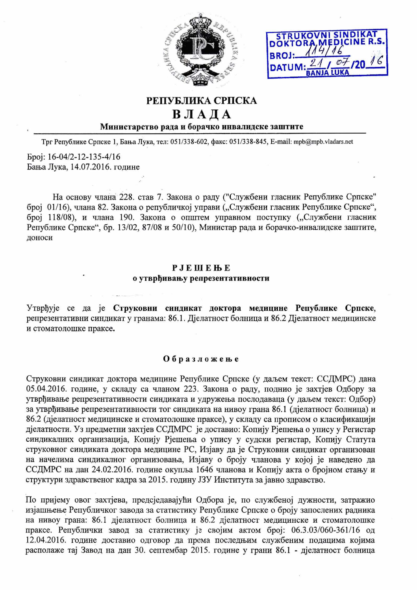



## РЕПУБЛИКА СРПСКА

# ВЛАДА

### Министарство рада и борачко инвалидске заштите

Трг Републике Српске 1, Бања Лука, тел: 051/338-602, факс: 051/338-845, E-mail: mpb@mpb.vladars.net

Epoj: 16-04/2-12-135-4/16 Бања Лука, 14.07.2016. године

На основу члана 228. став 7. Закона о раду ("Службени гласник Републике Српске" број 01/16), члана 82. Закона о републичкој управи ("Службени гласник Републике Српске", број 118/08), и члана 190. Закона о општем управном поступку ("Службени гласник Републике Српске", бр. 13/02, 87/08 и 50/10), Министар рада и борачко-инвалидске заштите, доноси

#### PJEMEЊE о утврђивању репрезентативности

Утврђује се да је Струковни синдикат доктора медицине Републике Српске, репрезентативни синдикат у гранама: 86.1. Дјелатност болница и 86.2 Дјелатност медицинске и стоматолошке праксе.

#### Образложење

Струковни синдикат доктора медицине Републике Српске (у даљем текст: ССДМРС) дана 05.04.2016. године, у складу са чланом 223. Закона о раду, поднио је захтјев Одбору за утврђивање репрезентативности синдиката и удружења послодаваца (у даљем текст: Одбор) за утврђивање репрезентативности тог синдиката на нивоу грана 86.1 (дјелатност болница) и 86.2 (дјелатност медицинске и стоматолошке праксе), у складу са прописом о класификацији дјелатности. Уз предметни захтјев ССДМРС је доставио: Копију Рјешења о упису у Регистар синдикалних организација, Копију Рјешења о упису у судски регистар, Копију Статута струковног синдиката доктора медицине РС, Изјаву да је Струковни синдикат организован на начелима синдикалног организовања, Изјаву о броју чланова у којој је наведено да ССДМРС на дан 24.02.2016. године окупља 1646 чланова и Копију акта о бројном стању и структури здравственог кадра за 2015. годину ЈЗУ Института за јавно здравство.

По пријему овог захтјева, предсједавајући Одбора је, по службеној дужности, затражио изјашњење Републичког завода за статистику Републике Српске о броју запослених радника на нивоу грана: 86.1 дјелатност болница и 86.2 дјелатност медицинске и стоматолошке праксе. Републички завод за статистику је својим актом број: 06.3.03/060-361/16 од 12.04.2016. године доставио одговор да према последњим службеним подацима којима располаже тај Завод на дан 30. септембар 2015. године у грани 86.1 - дјелатност болница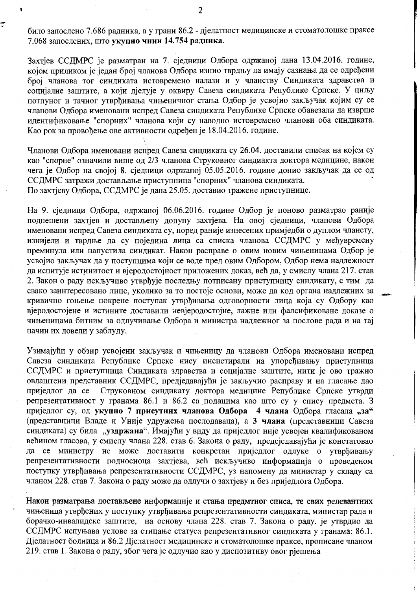било запослено 7.686 радника, а у грани 86.2 - діелатност медицинске и стоматолошке праксе 7.068 запослених, што укупно чини 14.754 радника.

Захтјев ССДМРС је разматран на 7. сједници Одбора одржаној дана 13.04.2016. године, којом приликом је један број чланова Одбора изнио тврдњу да имају сазнања да се одређени број чланова тог синдиката истовремено налази и у чланству Синдиката здравства и социјалне заштите, а који дјелује у оквиру Савеза синдиката Републике Српске. У циљу потпуног и тачног утврђивања чињеничног стања Одбор је усвојио закључак којим су се чланови Одбора именовани испред Савеза синдиката Републике Српске обавезали да изврше идентификовање "спорних" чланова који су наводно истовремено чланови оба синдиката. Као рок за провођење ове активности одређен је 18.04.2016. године.

Чланови Одбора именовани испред Савеза синдиката су 26.04. доставили списак на којем су као "спорне" означили више од 2/3 чланова Струковног синдиакта доктора медицине, након чега је Одбор на својој 8. сједници одржаној 05.05.2016. године донио закључак да се од ССДМРС затражи достављање приступница "спорних" чланова синдиката. По захтієву Одбора, ССДМРС је дана 25.05. доставио тражене приступнице.

На 9. сједници Одбора, одржаној 06.06.2016. године Одбор је поново разматрао раније поднешени захтјев и достављену допуну захтјева. На овој сједници, чланови Одбора именовани испред Савеза синдиката су, поред раније изнесених примједби о дуплом члансту, изнијели и тврдње да су поједина лица са списка чланова ССДМРС у међувремену преминула или напустила синдикат. Након расправе о овим новим чињеницама Одбор је усвојио закључак да у поступцима који се воде пред овим Одбором, Одбор нема надлежност да испитује истинитост и вјеродостојност приложених доказ, већ да, у смислу члана 217. став 2. Закон о раду искључиво утврђује последњу потписану приступницу синдикату, с тим да свако заинтересовано лице, уколико за то постоје основи, може да код органа надлежних за кривично гоњење покрене поступак утврђивања одговорности лица која су Одбору као вјеродостојене и истините доставили невјеродостојне, лажне или фалсификоване доказе о чињеницама битним за одлучивање Одбора и министра надлежног за послове рада и на тај начин их довели у заблуду.

Узимајући у обзир усвојени закључак и чињеницу да чланови Одбора именовани испред Савеза синдиката Републике Српске нису инсистирали на упоређивању приступница ССДМРС и приступница Синдиката здравства и социјалне заштите, нити је ово тражио овлаштени представник ССДМРС, предједавајући је закључио расправу и на гласање дао приједлог да се Струковном синдикату доктора медицине Републике Српске утврди репрезентативност у гранама 86.1 и 86.2 са подацима као што су у спису предмета. З приједлог су, од укупно 7 присутних чланова Одбора 4 члана Одбора гласала "за" (представници Владе и Уније удружења послодаваца), а 3 члана (представници Савеза синдиката) су била "уздржана". Имајући у виду да приједлог није усвојен квалификованом већином гласова, у смислу члана 228. став 6. Закона о раду, предсједавајући је констатовао да се министру не може доставити конкретан приједлог одлуке о утврђивању репрезентативности подносиоца захтјева, већ искључиво информација о проведеном поступку утврђивања репрезентативности ССДМРС, уз напомену да министар у складу са чланом 228. став 7. Закона о раду може да одлучи о захтіеву и без приједлога Одбора.

Након разматрања достављене информације и стања предмтног списа, те свих релевантних чињеница утврђених у поступку утврђивања репрезентативности синдиката, министар рада и борачко-инвалидске заштите, на основу члана 228. став 7. Закона о раду, је утврдио да ССДМРС испуњава услове за стицање статуса репрезентативног синдиката у гранама: 86.1. Дјелатност болница и 86.2 Дјелатност медицинске и стоматолошке праксе, прописане чланом 219. став 1. Закона о раду, због чега је одлучио као у диспозитиву овог рјешења

₹